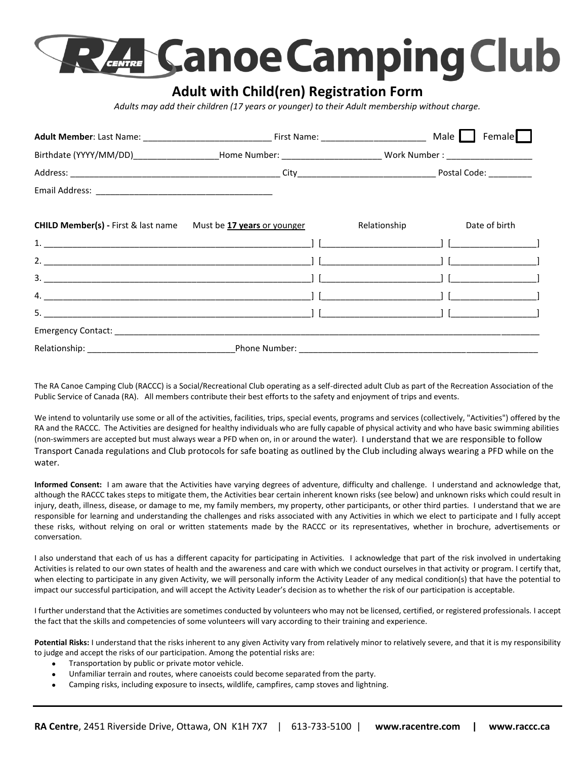

## **Adult with Child(ren) Registration Form**

*Adults may add their children (17 years or younger) to their Adult membership without charge.* 

|                                                                               |                                | Birthdate (YYYY/MM/DD)____________________Home Number: _________________________ Work Number : _______________ |  |
|-------------------------------------------------------------------------------|--------------------------------|----------------------------------------------------------------------------------------------------------------|--|
|                                                                               |                                |                                                                                                                |  |
|                                                                               |                                |                                                                                                                |  |
| <b>CHILD Member(s)</b> - First & last name Must be <b>17 years</b> or younger |                                | Relationship Date of birth                                                                                     |  |
|                                                                               |                                |                                                                                                                |  |
|                                                                               |                                |                                                                                                                |  |
|                                                                               |                                |                                                                                                                |  |
|                                                                               |                                |                                                                                                                |  |
|                                                                               |                                |                                                                                                                |  |
|                                                                               |                                |                                                                                                                |  |
|                                                                               | Phone Number: ________________ |                                                                                                                |  |

The RA Canoe Camping Club (RACCC) is a Social/Recreational Club operating as a self-directed adult Club as part of the Recreation Association of the Public Service of Canada (RA). All members contribute their best efforts to the safety and enjoyment of trips and events.

We intend to voluntarily use some or all of the activities, facilities, trips, special events, programs and services (collectively, "Activities") offered by the RA and the RACCC. The Activities are designed for healthy individuals who are fully capable of physical activity and who have basic swimming abilities (non-swimmers are accepted but must always wear a PFD when on, in or around the water). I understand that we are responsible to follow Transport Canada regulations and Club protocols for safe boating as outlined by the Club including always wearing a PFD while on the water.

**Informed Consent:** I am aware that the Activities have varying degrees of adventure, difficulty and challenge. I understand and acknowledge that, although the RACCC takes steps to mitigate them, the Activities bear certain inherent known risks (see below) and unknown risks which could result in injury, death, illness, disease, or damage to me, my family members, my property, other participants, or other third parties. I understand that we are responsible for learning and understanding the challenges and risks associated with any Activities in which we elect to participate and I fully accept these risks, without relying on oral or written statements made by the RACCC or its representatives, whether in brochure, advertisements or conversation.

I also understand that each of us has a different capacity for participating in Activities. I acknowledge that part of the risk involved in undertaking Activities is related to our own states of health and the awareness and care with which we conduct ourselves in that activity or program. I certify that, when electing to participate in any given Activity, we will personally inform the Activity Leader of any medical condition(s) that have the potential to impact our successful participation, and will accept the Activity Leader's decision as to whether the risk of our participation is acceptable.

I further understand that the Activities are sometimes conducted by volunteers who may not be licensed, certified, or registered professionals. I accept the fact that the skills and competencies of some volunteers will vary according to their training and experience.

Potential Risks: I understand that the risks inherent to any given Activity vary from relatively minor to relatively severe, and that it is my responsibility to judge and accept the risks of our participation. Among the potential risks are:

- Transportation by public or private motor vehicle.
- Unfamiliar terrain and routes, where canoeists could become separated from the party.
- Camping risks, including exposure to insects, wildlife, campfires, camp stoves and lightning.